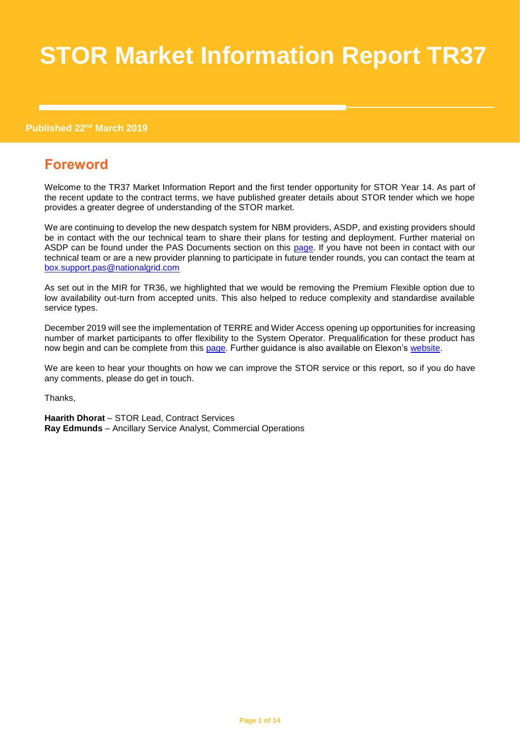# **STOR Market Information Report TR37**

#### **Published 22nd March 2019**

# **Foreword**

Welcome to the TR37 Market Information Report and the first tender opportunity for STOR Year 14. As part of the recent update to the contract terms, we have published greater details about STOR tender which we hope provides a greater degree of understanding of the STOR market.

We are continuing to develop the new despatch system for NBM providers, ASDP, and existing providers should be in contact with the our technical team to share their plans for testing and deployment. Further material on ASDP can be found under the PAS Documents section on this [page.](https://www.nationalgrideso.com/balancing-services/reserve-services/short-term-operating-reserve-stor?technical-requirements) If you have not been in contact with our technical team or are a new provider planning to participate in future tender rounds, you can contact the team at [box.support.pas@nationalgrid.com](mailto:box.support.pas@nationalgrid.com)

As set out in the MIR for TR36, we highlighted that we would be removing the Premium Flexible option due to low availability out-turn from accepted units. This also helped to reduce complexity and standardise available service types.

December 2019 will see the implementation of TERRE and Wider Access opening up opportunities for increasing number of market participants to offer flexibility to the System Operator. Prequalification for these product has now begin and can be complete from this [page.](https://www.nationalgrideso.com/balancing-services/reserve-services/replacement-reserve-rr) Further guidance is also available on Elexon's [website.](https://www.elexon.co.uk/about/trading-electricty-market/terre-wider-access/)

We are keen to hear your thoughts on how we can improve the STOR service or this report, so if you do have any comments, please do get in touch.

Thanks,

**Haarith Dhorat** – STOR Lead, Contract Services **Ray Edmunds** – Ancillary Service Analyst, Commercial Operations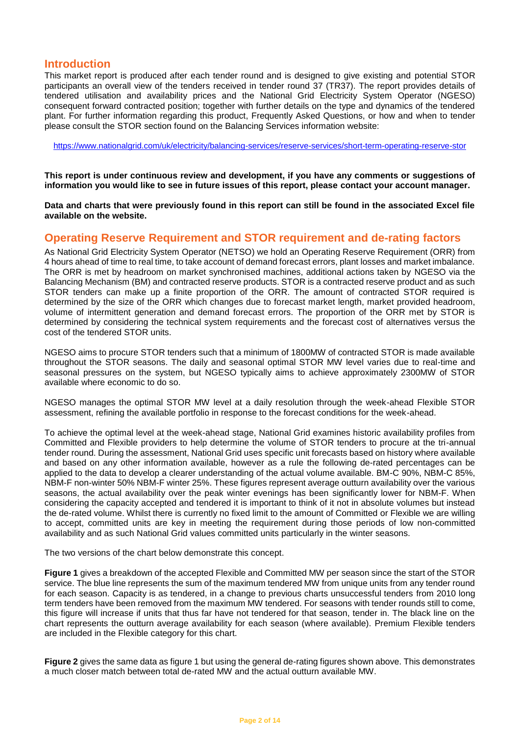## **Introduction**

This market report is produced after each tender round and is designed to give existing and potential STOR participants an overall view of the tenders received in tender round 37 (TR37). The report provides details of tendered utilisation and availability prices and the National Grid Electricity System Operator (NGESO) consequent forward contracted position; together with further details on the type and dynamics of the tendered plant. For further information regarding this product, Frequently Asked Questions, or how and when to tender please consult the STOR section found on the Balancing Services information website:

<https://www.nationalgrid.com/uk/electricity/balancing-services/reserve-services/short-term-operating-reserve-stor>

**This report is under continuous review and development, if you have any comments or suggestions of information you would like to see in future issues of this report, please contact your account manager.**

**Data and charts that were previously found in this report can still be found in the associated Excel file available on the website.**

## **Operating Reserve Requirement and STOR requirement and de-rating factors**

As National Grid Electricity System Operator (NETSO) we hold an Operating Reserve Requirement (ORR) from 4 hours ahead of time to real time, to take account of demand forecast errors, plant losses and market imbalance. The ORR is met by headroom on market synchronised machines, additional actions taken by NGESO via the Balancing Mechanism (BM) and contracted reserve products. STOR is a contracted reserve product and as such STOR tenders can make up a finite proportion of the ORR. The amount of contracted STOR required is determined by the size of the ORR which changes due to forecast market length, market provided headroom, volume of intermittent generation and demand forecast errors. The proportion of the ORR met by STOR is determined by considering the technical system requirements and the forecast cost of alternatives versus the cost of the tendered STOR units.

NGESO aims to procure STOR tenders such that a minimum of 1800MW of contracted STOR is made available throughout the STOR seasons. The daily and seasonal optimal STOR MW level varies due to real-time and seasonal pressures on the system, but NGESO typically aims to achieve approximately 2300MW of STOR available where economic to do so.

NGESO manages the optimal STOR MW level at a daily resolution through the week-ahead Flexible STOR assessment, refining the available portfolio in response to the forecast conditions for the week-ahead.

To achieve the optimal level at the week-ahead stage, National Grid examines historic availability profiles from Committed and Flexible providers to help determine the volume of STOR tenders to procure at the tri-annual tender round. During the assessment, National Grid uses specific unit forecasts based on history where available and based on any other information available, however as a rule the following de-rated percentages can be applied to the data to develop a clearer understanding of the actual volume available. BM-C 90%, NBM-C 85%, NBM-F non-winter 50% NBM-F winter 25%. These figures represent average outturn availability over the various seasons, the actual availability over the peak winter evenings has been significantly lower for NBM-F. When considering the capacity accepted and tendered it is important to think of it not in absolute volumes but instead the de-rated volume. Whilst there is currently no fixed limit to the amount of Committed or Flexible we are willing to accept, committed units are key in meeting the requirement during those periods of low non-committed availability and as such National Grid values committed units particularly in the winter seasons.

The two versions of the chart below demonstrate this concept.

**Figure 1** gives a breakdown of the accepted Flexible and Committed MW per season since the start of the STOR service. The blue line represents the sum of the maximum tendered MW from unique units from any tender round for each season. Capacity is as tendered, in a change to previous charts unsuccessful tenders from 2010 long term tenders have been removed from the maximum MW tendered. For seasons with tender rounds still to come, this figure will increase if units that thus far have not tendered for that season, tender in. The black line on the chart represents the outturn average availability for each season (where available). Premium Flexible tenders are included in the Flexible category for this chart.

**Figure 2** gives the same data as figure 1 but using the general de-rating figures shown above. This demonstrates a much closer match between total de-rated MW and the actual outturn available MW.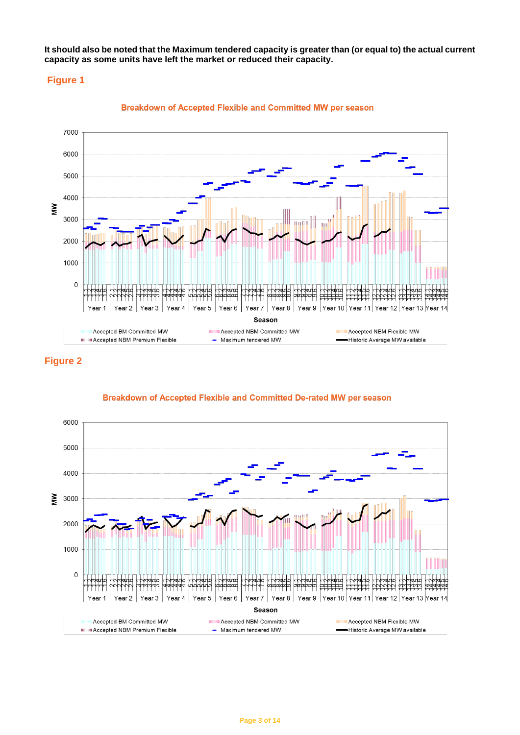**It should also be noted that the Maximum tendered capacity is greater than (or equal to) the actual current capacity as some units have left the market or reduced their capacity.**

#### **Figure 1**



Breakdown of Accepted Flexible and Committed MW per season

## **Figure 2**



Breakdown of Accepted Flexible and Committed De-rated MW per season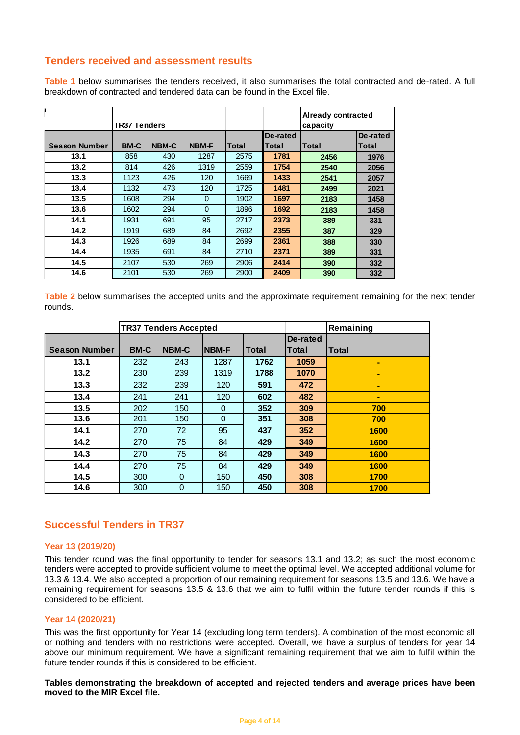## **Tenders received and assessment results**

**Table 1** below summarises the tenders received, it also summarises the total contracted and de-rated. A full breakdown of contracted and tendered data can be found in the Excel file.

|                      | <b>TR37 Tenders</b> |       |              |       |          | <b>Already contracted</b><br>capacity |          |
|----------------------|---------------------|-------|--------------|-------|----------|---------------------------------------|----------|
|                      |                     |       |              |       | De-rated |                                       | De-rated |
| <b>Season Number</b> | <b>BM-C</b>         | NBM-C | <b>NBM-F</b> | Total | Total    | Total                                 | Total    |
| 13.1                 | 858                 | 430   | 1287         | 2575  | 1781     | 2456                                  | 1976     |
| 13.2                 | 814                 | 426   | 1319         | 2559  | 1754     | 2540                                  | 2056     |
| 13.3                 | 1123                | 426   | 120          | 1669  | 1433     | 2541                                  | 2057     |
| 13.4                 | 1132                | 473   | 120          | 1725  | 1481     | 2499                                  | 2021     |
| 13.5                 | 1608                | 294   | $\Omega$     | 1902  | 1697     | 2183                                  | 1458     |
| 13.6                 | 1602                | 294   | $\Omega$     | 1896  | 1692     | 2183                                  | 1458     |
| 14.1                 | 1931                | 691   | 95           | 2717  | 2373     | 389                                   | 331      |
| 14.2                 | 1919                | 689   | 84           | 2692  | 2355     | 387                                   | 329      |
| 14.3                 | 1926                | 689   | 84           | 2699  | 2361     | 388                                   | 330      |
| 14.4                 | 1935                | 691   | 84           | 2710  | 2371     | 389                                   | 331      |
| 14.5                 | 2107                | 530   | 269          | 2906  | 2414     | 390                                   | 332      |
| 14.6                 | 2101                | 530   | 269          | 2900  | 2409     | 390                                   | 332      |

**Table 2** below summarises the accepted units and the approximate requirement remaining for the next tender rounds.

|                      | <b>TR37 Tenders Accepted</b> |                |              |       |              | Remaining    |
|----------------------|------------------------------|----------------|--------------|-------|--------------|--------------|
|                      |                              |                |              |       | De-rated     |              |
| <b>Season Number</b> | <b>BM-C</b>                  | NBM-C          | <b>NBM-F</b> | Total | <b>Total</b> | <b>Total</b> |
| 13.1                 | 232                          | 243            | 1287         | 1762  | 1059         | ۰            |
| 13.2                 | 230                          | 239            | 1319         | 1788  | 1070         |              |
| 13.3                 | 232                          | 239            | 120          | 591   | 472          | ۰            |
| 13.4                 | 241                          | 241            | 120          | 602   | 482          |              |
| 13.5                 | 202                          | 150            | $\Omega$     | 352   | 309          | 700          |
| 13.6                 | 201                          | 150            | $\Omega$     | 351   | 308          | 700          |
| 14.1                 | 270                          | 72             | 95           | 437   | 352          | 1600         |
| 14.2                 | 270                          | 75             | 84           | 429   | 349          | 1600         |
| 14.3                 | 270                          | 75             | 84           | 429   | 349          | 1600         |
| 14.4                 | 270                          | 75             | 84           | 429   | 349          | 1600         |
| 14.5                 | 300                          | $\mathbf 0$    | 150          | 450   | 308          | 1700         |
| 14.6                 | 300                          | $\overline{0}$ | 150          | 450   | 308          | 1700         |

### **Successful Tenders in TR37**

#### **Year 13 (2019/20)**

This tender round was the final opportunity to tender for seasons 13.1 and 13.2; as such the most economic tenders were accepted to provide sufficient volume to meet the optimal level. We accepted additional volume for 13.3 & 13.4. We also accepted a proportion of our remaining requirement for seasons 13.5 and 13.6. We have a remaining requirement for seasons 13.5 & 13.6 that we aim to fulfil within the future tender rounds if this is considered to be efficient.

#### **Year 14 (2020/21)**

This was the first opportunity for Year 14 (excluding long term tenders). A combination of the most economic all or nothing and tenders with no restrictions were accepted. Overall, we have a surplus of tenders for year 14 above our minimum requirement. We have a significant remaining requirement that we aim to fulfil within the future tender rounds if this is considered to be efficient.

**Tables demonstrating the breakdown of accepted and rejected tenders and average prices have been moved to the MIR Excel file.**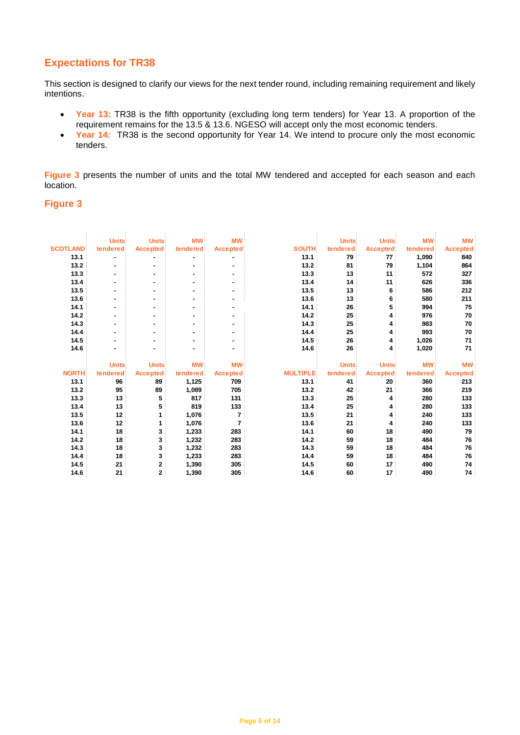## **Expectations for TR38**

This section is designed to clarify our views for the next tender round, including remaining requirement and likely intentions.

- **Year 13:** TR38 is the fifth opportunity (excluding long term tenders) for Year 13. A proportion of the requirement remains for the 13.5 & 13.6. NGESO will accept only the most economic tenders.
- **Year 14:** TR38 is the second opportunity for Year 14. We intend to procure only the most economic tenders.

**Figure 3** presents the number of units and the total MW tendered and accepted for each season and each location.

#### **Figure 3**

|                 | <b>Units</b> | <b>Units</b>    | <b>MW</b> | <b>MW</b>       |                 | <b>Units</b> | <b>Units</b>    | <b>MW</b> | <b>MW</b>       |
|-----------------|--------------|-----------------|-----------|-----------------|-----------------|--------------|-----------------|-----------|-----------------|
| <b>SCOTLAND</b> | tendered     | <b>Accepted</b> | tendered  | <b>Accepted</b> | <b>SOUTH</b>    | tendered     | <b>Accepted</b> | tendered  | <b>Accepted</b> |
| 13.1            | ٠            |                 | ۰         |                 | 13.1            | 79           | 77              | 1,090     | 840             |
| 13.2            | ٠            |                 | ۰         |                 | 13.2            | 81           | 79              | 1,104     | 864             |
| 13.3            | ٠            |                 | ٠         | ۰               | 13.3            | 13           | 11              | 572       | 327             |
| 13.4            | ٠            |                 | ٠         | ۰               | 13.4            | 14           | 11              | 626       | 336             |
| 13.5            | ٠            |                 |           |                 | 13.5            | 13           | 6               | 586       | 212             |
| 13.6            | ٠            |                 |           |                 | 13.6            | 13           | 6               | 580       | 211             |
| 14.1            | ٠            |                 |           |                 | 14.1            | 26           | 5               | 994       | 75              |
| 14.2            | ۰            | ٠               | ۰         |                 | 14.2            | 25           | 4               | 976       | 70              |
| 14.3            | ٠            | ۰               |           | ۰               | 14.3            | 25           | 4               | 983       | 70              |
| 14.4            | ٠            |                 |           |                 | 14.4            | 25           | 4               | 993       | 70              |
| 14.5            | ۰            |                 | ۰         | ۰               | 14.5            | 26           | 4               | 1,026     | 71              |
| 14.6            | ۰            | ۰               | ٠         | ٠               | 14.6            | 26           | 4               | 1,020     | 71              |
|                 |              |                 |           |                 |                 |              |                 |           |                 |
|                 | <b>Units</b> | <b>Units</b>    | <b>MW</b> | <b>MW</b>       |                 | <b>Units</b> | <b>Units</b>    | <b>MW</b> | <b>MW</b>       |
| <b>NORTH</b>    | tendered     | <b>Accepted</b> | tendered  | <b>Accepted</b> | <b>MULTIPLE</b> | tendered     | <b>Accepted</b> | tendered  | <b>Accepted</b> |
| 13.1            | 96           | 89              | 1,125     | 709             | 13.1            | 41           | 20              | 360       | 213             |
| 13.2            | 95           | 89              | 1,089     | 705             | 13.2            | 42           | 21              | 366       | 219             |
| 13.3            | 13           | 5               | 817       | 131             | 13.3            | 25           | 4               | 280       | 133             |
| 13.4            | 13           | 5               | 819       | 133             | 13.4            | 25           | 4               | 280       | 133             |
| 13.5            | 12           | 1               | 1,076     | 7               | 13.5            | 21           | 4               | 240       | 133             |
| 13.6            | 12           | 1               | 1,076     | 7               | 13.6            | 21           | 4               | 240       | 133             |
| 14.1            | 18           | 3               | 1,233     | 283             | 14.1            | 60           | 18              | 490       | 79              |
| 14.2            | 18           | 3               | 1,232     | 283             | 14.2            | 59           | 18              | 484       | 76              |
| 14.3            | 18           | 3               | 1,232     | 283             | 14.3            | 59           | 18              | 484       | 76              |
| 14.4            | 18           | 3               | 1,233     | 283             | 14.4            | 59           | 18              | 484       | 76              |
| 14.5            | 21           | $\mathbf{2}$    | 1,390     | 305             | 14.5            | 60           | 17              | 490       | 74              |
| 14.6            | 21           | $\overline{2}$  | 1,390     | 305             | 14.6            | 60           | 17              | 490       | 74              |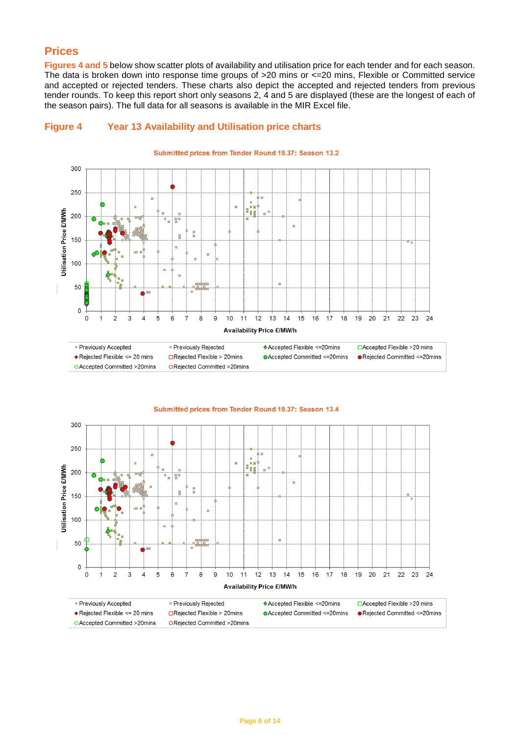## **Prices**

**Figures 4 and 5** below show scatter plots of availability and utilisation price for each tender and for each season. The data is broken down into response time groups of >20 mins or <=20 mins, Flexible or Committed service and accepted or rejected tenders. These charts also depict the accepted and rejected tenders from previous tender rounds. To keep this report short only seasons 2, 4 and 5 are displayed (these are the longest of each of the season pairs). The full data for all seasons is available in the MIR Excel file.





300 250 ۵ ÿ, Utilisation Price £/MWh 200  $\overline{a}$ g g 150  $\Box$ 100  $\overline{a}$ 50  $\Omega$  $\overline{2}$ 3  $\overline{4}$ 5  $6\overline{6}$  $\overline{7}$  $\overline{8}$ 9  $10$ 11  $12$  $13$  $14$ 20  $\Omega$  $\overline{1}$ 15 16 17 18 19 21 22 23 24 Availability Price £/MW/h

#### Submitted prices from Tender Round 19.37: Season 13.4

· Previously Accepted ◆ Rejected Flexible <= 20 mins

O Accepted Committed >20mins

· Previously Rejected □Rejected Flexible > 20mins ORejected Committed >20mins

♦ Accepted Flexible <= 20mins ● Accepted Committed <= 20mins

□ Accepted Flexible >20 mins ● Rejected Committed <= 20mins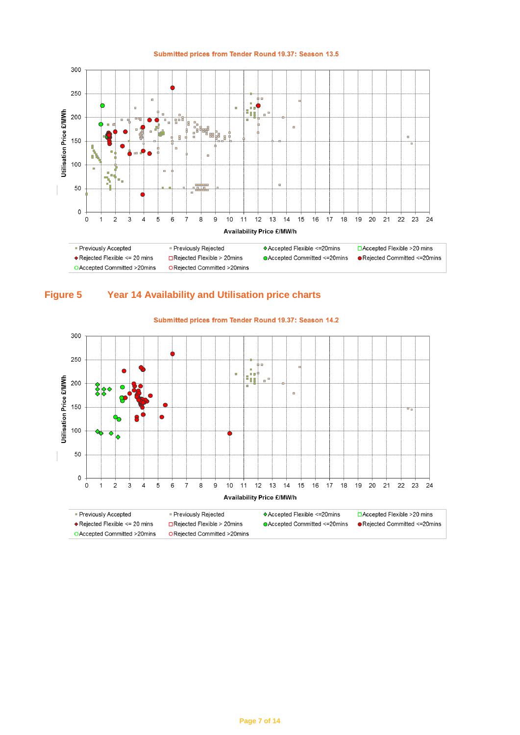

#### Submitted prices from Tender Round 19.37: Season 13.5





#### Submitted prices from Tender Round 19.37: Season 14.2

O Accepted Committed >20mins

ORejected Committed >20mins

● Rejected Committed <= 20mins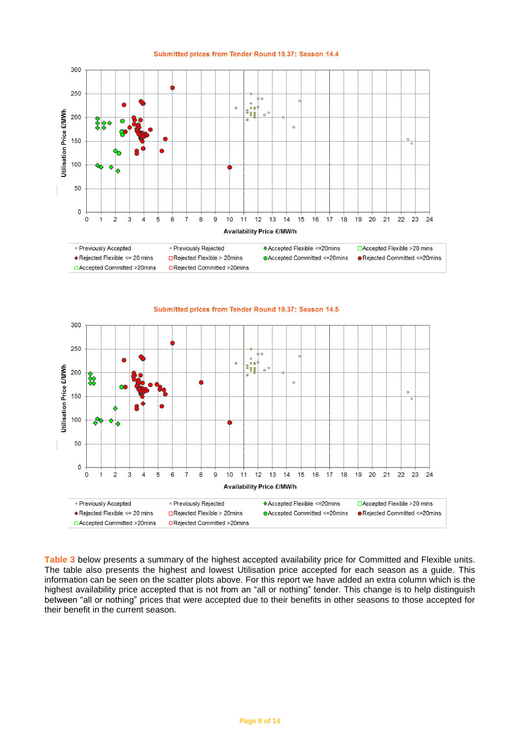

100

50

 $\mathbf 0$ 

 $\mathbf 0$  $\mathbf{1}$   $\overline{2}$ 

 $\triangle$  Rejected Flexible <= 20 mins

O Accepted Committed >20mins

• Previously Accepted

3  $\overline{4}$ 5 6  $\overline{7}$ 

Submitted prices from Tender Round 19.37: Season 14.4

**Table 3** below presents a summary of the highest accepted availability price for Committed and Flexible units. The table also presents the highest and lowest Utilisation price accepted for each season as a guide. This information can be seen on the scatter plots above. For this report we have added an extra column which is the highest availability price accepted that is not from an "all or nothing" tender. This change is to help distinguish between "all or nothing" prices that were accepted due to their benefits in other seasons to those accepted for their benefit in the current season.

11 12 13

**Availability Price £/MW/h** 

 $14$ 

15 16 17

♦ Accepted Flexible <= 20mins

**OAccepted Committed <= 20mins** 

18 19  $20$  $21$ 22 23 24

□ Accepted Flexible >20 mins

● Reiected Committed <= 20mins

8  $\mathsf g$ 10

· Previously Rejected

 $\Box$ Reiected Flexible > 20mins

ORejected Committed >20mins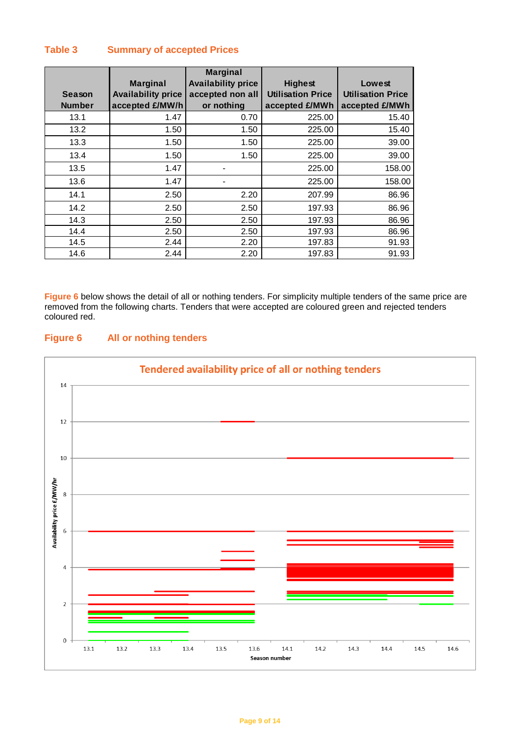## **Table 3 Summary of accepted Prices**

| Season<br><b>Number</b> | <b>Marginal</b><br><b>Availability price</b><br>accepted £/MW/h | <b>Marginal</b><br><b>Availability price</b><br>accepted non all<br>or nothing | <b>Highest</b><br><b>Utilisation Price</b><br>accepted £/MWh | Lowest<br><b>Utilisation Price</b><br>accepted £/MWh |
|-------------------------|-----------------------------------------------------------------|--------------------------------------------------------------------------------|--------------------------------------------------------------|------------------------------------------------------|
| 13.1                    | 1.47                                                            | 0.70                                                                           | 225.00                                                       | 15.40                                                |
| 13.2                    | 1.50                                                            | 1.50                                                                           | 225.00                                                       | 15.40                                                |
| 13.3                    | 1.50                                                            | 1.50                                                                           | 225.00                                                       | 39.00                                                |
| 13.4                    | 1.50                                                            | 1.50                                                                           | 225.00                                                       | 39.00                                                |
| 13.5                    | 1.47                                                            |                                                                                | 225.00                                                       | 158.00                                               |
| 13.6                    | 1.47                                                            |                                                                                | 225.00                                                       | 158.00                                               |
| 14.1                    | 2.50                                                            | 2.20                                                                           | 207.99                                                       | 86.96                                                |
| 14.2                    | 2.50                                                            | 2.50                                                                           | 197.93                                                       | 86.96                                                |
| 14.3                    | 2.50                                                            | 2.50                                                                           | 197.93                                                       | 86.96                                                |
| 14.4                    | 2.50                                                            | 2.50                                                                           | 197.93                                                       | 86.96                                                |
| 14.5                    | 2.44                                                            | 2.20                                                                           | 197.83                                                       | 91.93                                                |
| 14.6                    | 2.44                                                            | 2.20                                                                           | 197.83                                                       | 91.93                                                |

**Figure 6** below shows the detail of all or nothing tenders. For simplicity multiple tenders of the same price are removed from the following charts. Tenders that were accepted are coloured green and rejected tenders coloured red.

## **Figure 6 All or nothing tenders**

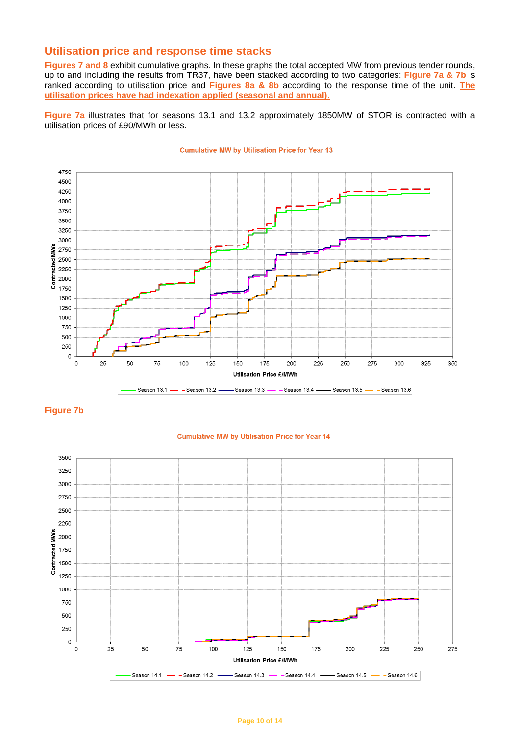## **Utilisation price and response time stacks**

**Figures 7 and 8** exhibit cumulative graphs. In these graphs the total accepted MW from previous tender rounds, up to and including the results from TR37, have been stacked according to two categories: **Figure 7a & 7b** is ranked according to utilisation price and **Figures 8a & 8b** according to the response time of the unit. **The utilisation prices have had indexation applied (seasonal and annual).**

**Figure 7a** illustrates that for seasons 13.1 and 13.2 approximately 1850MW of STOR is contracted with a utilisation prices of £90/MWh or less.



#### **Cumulative MW by Utilisation Price for Year 13**





#### **Cumulative MW by Utilisation Price for Year 14**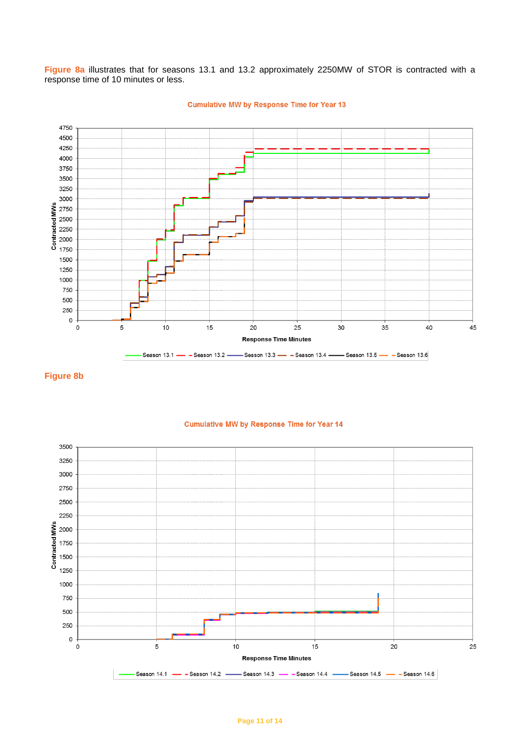**Figure 8a** illustrates that for seasons 13.1 and 13.2 approximately 2250MW of STOR is contracted with a response time of 10 minutes or less.



**Cumulative MW by Response Time for Year 13** 

#### **Figure 8b**



#### **Cumulative MW by Response Time for Year 14**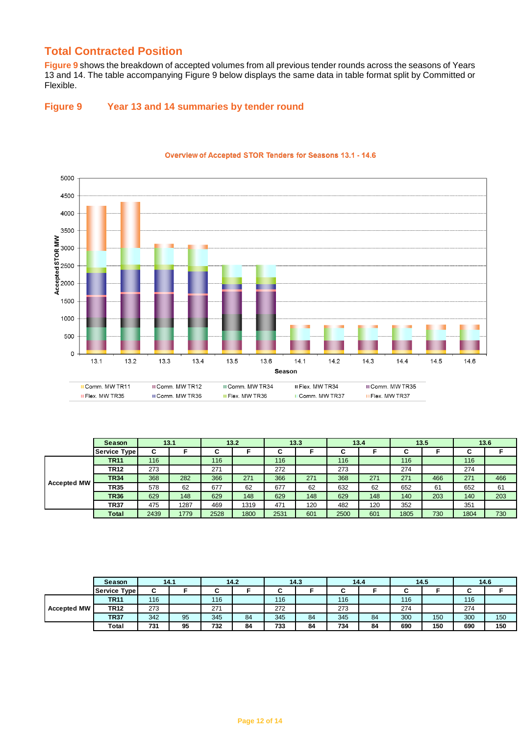## **Total Contracted Position**

**Figure 9** shows the breakdown of accepted volumes from all previous tender rounds across the seasons of Years 13 and 14. The table accompanying Figure 9 below displays the same data in table format split by Committed or Flexible.

## **Figure 9 Year 13 and 14 summaries by tender round**



#### **Overview of Accepted STOR Tenders for Seasons 13.1 - 14.6**

|             | Season       |      | 13.1 |      | 13.2 |        | 13.3 |      | 13.4 |      | 13.5 |      | 13.6 |
|-------------|--------------|------|------|------|------|--------|------|------|------|------|------|------|------|
|             | Service Type | С    |      | ັ    |      | ,<br>ັ |      | ັ    |      | ັ    |      | С    |      |
|             | <b>TR11</b>  | 116  |      | 116  |      | 116    |      | 116  |      | 116  |      | 116  |      |
|             | <b>TR12</b>  | 273  |      | 271  |      | 272    |      | 273  |      | 274  |      | 274  |      |
| Accepted MW | <b>TR34</b>  | 368  | 282  | 366  | 271  | 366    | 271  | 368  | 271  | 271  | 466  | 271  | 466  |
|             | <b>TR35</b>  | 578  | 62   | 677  | 62   | 677    | 62   | 632  | 62   | 652  | 61   | 652  | 61   |
|             | <b>TR36</b>  | 629  | 148  | 629  | 148  | 629    | 148  | 629  | 148  | 140  | 203  | 140  | 203  |
|             | TR37         | 475  | 1287 | 469  | 1319 | 471    | 120  | 482  | 120  | 352  |      | 351  |      |
|             | Total        | 2439 | 1779 | 2528 | 1800 | 2531   | 601  | 2500 | 601  | 1805 | 730  | 1804 | 730  |

|                    | Season       |     | 14.1 |     | 14.2 |     | 14.3 |     | 14.4 |     | 14.5 |     | 14.6 |
|--------------------|--------------|-----|------|-----|------|-----|------|-----|------|-----|------|-----|------|
|                    | Service Type | ~   |      |     |      |     |      |     |      |     |      |     |      |
|                    | <b>TR11</b>  | 116 |      | 116 |      | 116 |      | 116 |      | 116 |      | 116 |      |
| <b>Accepted MW</b> | <b>TR12</b>  | 273 |      | 271 |      | 272 |      | 273 |      | 274 |      | 274 |      |
|                    | <b>TR37</b>  | 342 | 95   | 345 | 84   | 345 | 84   | 345 | 84   | 300 | 150  | 300 | 150  |
|                    | Total        | 731 | 95   | 732 | 84   | 733 | 84   | 734 | 84   | 690 | 150  | 690 | 150  |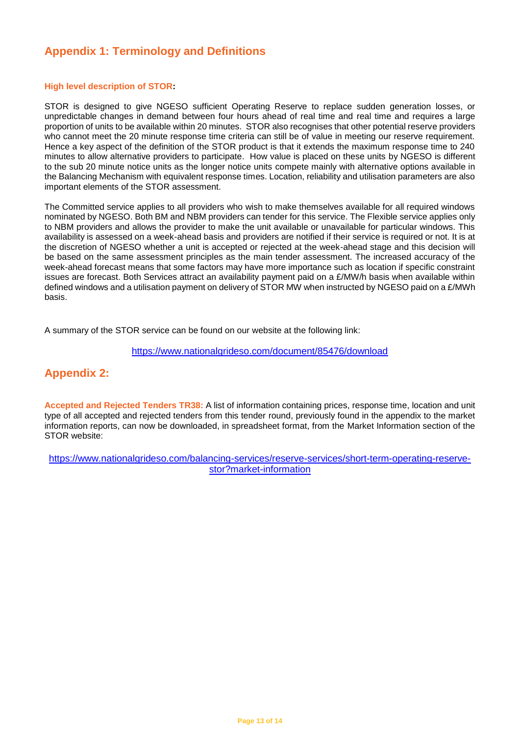# **Appendix 1: Terminology and Definitions**

#### **High level description of STOR:**

STOR is designed to give NGESO sufficient Operating Reserve to replace sudden generation losses, or unpredictable changes in demand between four hours ahead of real time and real time and requires a large proportion of units to be available within 20 minutes. STOR also recognises that other potential reserve providers who cannot meet the 20 minute response time criteria can still be of value in meeting our reserve requirement. Hence a key aspect of the definition of the STOR product is that it extends the maximum response time to 240 minutes to allow alternative providers to participate. How value is placed on these units by NGESO is different to the sub 20 minute notice units as the longer notice units compete mainly with alternative options available in the Balancing Mechanism with equivalent response times. Location, reliability and utilisation parameters are also important elements of the STOR assessment.

The Committed service applies to all providers who wish to make themselves available for all required windows nominated by NGESO. Both BM and NBM providers can tender for this service. The Flexible service applies only to NBM providers and allows the provider to make the unit available or unavailable for particular windows. This availability is assessed on a week-ahead basis and providers are notified if their service is required or not. It is at the discretion of NGESO whether a unit is accepted or rejected at the week-ahead stage and this decision will be based on the same assessment principles as the main tender assessment. The increased accuracy of the week-ahead forecast means that some factors may have more importance such as location if specific constraint issues are forecast. Both Services attract an availability payment paid on a £/MW/h basis when available within defined windows and a utilisation payment on delivery of STOR MW when instructed by NGESO paid on a £/MWh basis.

A summary of the STOR service can be found on our website at the following link:

<https://www.nationalgrideso.com/document/85476/download>

# **Appendix 2:**

**Accepted and Rejected Tenders TR38:** A list of information containing prices, response time, location and unit type of all accepted and rejected tenders from this tender round, previously found in the appendix to the market information reports, can now be downloaded, in spreadsheet format, from the Market Information section of the STOR website:

[https://www.nationalgrideso.com/balancing-services/reserve-services/short-term-operating-reserve](https://www.nationalgrideso.com/balancing-services/reserve-services/short-term-operating-reserve-stor?market-information)[stor?market-information](https://www.nationalgrideso.com/balancing-services/reserve-services/short-term-operating-reserve-stor?market-information)